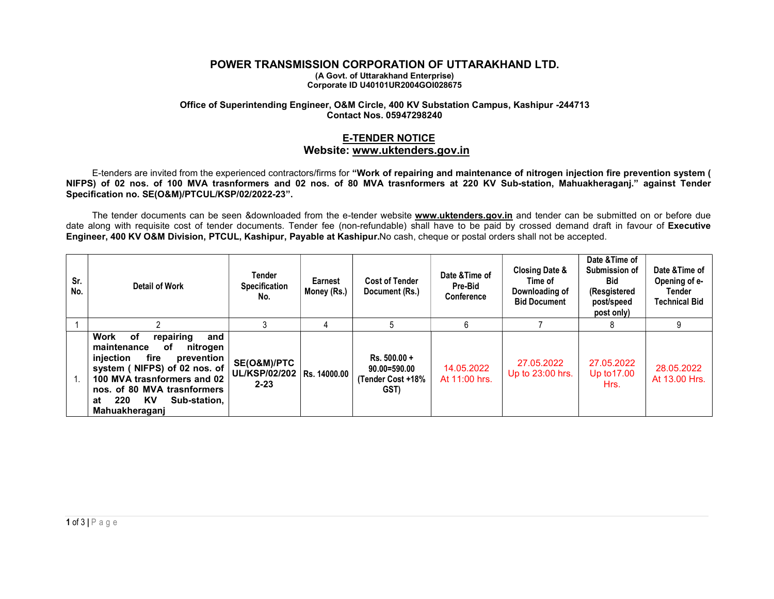## POWER TRANSMISSION CORPORATION OF UTTARAKHAND LTD. (A Govt. of Uttarakhand Enterprise) Corporate ID U40101UR2004GOI028675

## Office of Superintending Engineer, O&M Circle, 400 KV Substation Campus, Kashipur -244713 Contact Nos. 05947298240

## E-TENDER NOTICE Website: www.uktenders.gov.in

E-tenders are invited from the experienced contractors/firms for "Work of repairing and maintenance of nitrogen injection fire prevention system ( NIFPS) of 02 nos. of 100 MVA trasnformers and 02 nos. of 80 MVA trasnformers at 220 KV Sub-station, Mahuakheraganj." against Tender Specification no. SE(O&M)/PTCUL/KSP/02/2022-23".

The tender documents can be seen &downloaded from the e-tender website www.uktenders.gov.in and tender can be submitted on or before due date along with requisite cost of tender documents. Tender fee (non-refundable) shall have to be paid by crossed demand draft in favour of Executive Engineer, 400 KV O&M Division, PTCUL, Kashipur, Payable at Kashipur.No cash, cheque or postal orders shall not be accepted.

| Sr.<br>No. | Detail of Work                                                                                                                                                                                                                                               | Tender<br><b>Specification</b><br>No.                 | <b>Earnest</b><br>Money (Rs.) | <b>Cost of Tender</b><br>Document (Rs.)                         | Date & Time of<br>Pre-Bid<br><b>Conference</b> | <b>Closing Date &amp;</b><br>Time of<br>Downloading of<br><b>Bid Document</b> | Date & Time of<br>Submission of<br>Bid<br>(Resgistered<br>post/speed<br>post only) | Date & Time of<br>Opening of e-<br>Tender<br><b>Technical Bid</b> |
|------------|--------------------------------------------------------------------------------------------------------------------------------------------------------------------------------------------------------------------------------------------------------------|-------------------------------------------------------|-------------------------------|-----------------------------------------------------------------|------------------------------------------------|-------------------------------------------------------------------------------|------------------------------------------------------------------------------------|-------------------------------------------------------------------|
|            |                                                                                                                                                                                                                                                              |                                                       |                               |                                                                 | 6                                              |                                                                               |                                                                                    |                                                                   |
|            | repairing<br>Work<br>оf<br>and<br>nitrogen<br>maintenance<br>оf<br>fire<br>injection<br>prevention<br>system (NIFPS) of 02 nos. of<br>100 MVA trasnformers and 02<br>nos. of 80 MVA trasnformers<br><b>KV</b><br>Sub-station,<br>220<br>at<br>Mahuakheraganj | SE(O&M)/PTC<br>UL/KSP/02/202 Rs. 14000.00<br>$2 - 23$ |                               | $Rs. 500.00 +$<br>$90.00 = 590.00$<br>(Tender Cost +18%<br>GST) | 14.05.2022<br>At 11:00 hrs.                    | 27.05.2022<br>Up to 23:00 hrs.                                                | 27.05.2022<br>Up to 17.00<br>Hrs.                                                  | 28.05.2022<br>At 13.00 Hrs.                                       |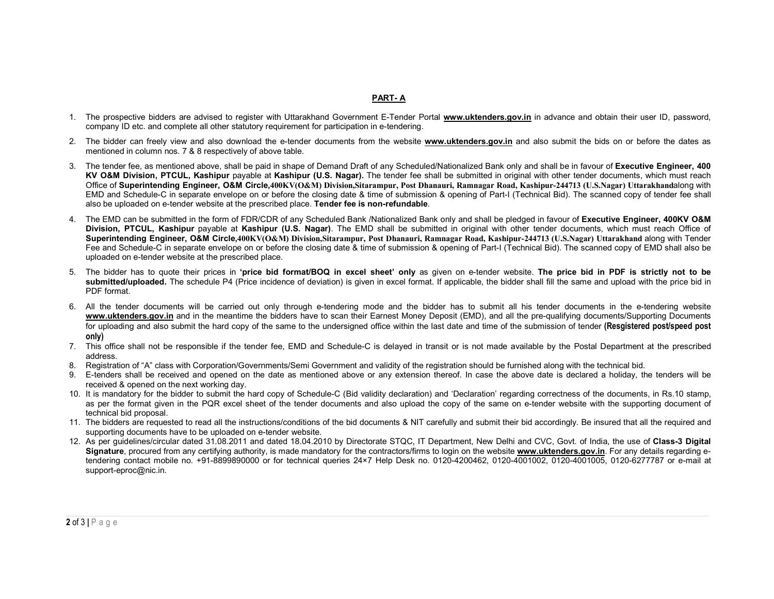#### PART- A

- 1. The prospective bidders are advised to register with Uttarakhand Government E-Tender Portal www.uktenders.gov.in in advance and obtain their user ID, password, company ID etc. and complete all other statutory requirement for participation in e-tendering.
- 2. The bidder can freely view and also download the e-tender documents from the website www.uktenders.gov.in and also submit the bids on or before the dates as mentioned in column nos. 7 & 8 respectively of above table.
- 3. The tender fee, as mentioned above, shall be paid in shape of Demand Draft of any Scheduled/Nationalized Bank only and shall be in favour of Executive Engineer, 400 KV O&M Division, PTCUL, Kashipur payable at Kashipur (U.S. Nagar). The tender fee shall be submitted in original with other tender documents, which must reach Office of Superintending Engineer, O&M Circle,400KV(O&M) Division,Sitarampur, Post Dhanauri, Ramnagar Road, Kashipur-244713 (U.S.Nagar) Uttarakhandalong with EMD and Schedule-C in separate envelope on or before the closing date & time of submission & opening of Part-I (Technical Bid). The scanned copy of tender fee shall also be uploaded on e-tender website at the prescribed place. Tender fee is non-refundable.
- 4. The EMD can be submitted in the form of FDR/CDR of any Scheduled Bank /Nationalized Bank only and shall be pledged in favour of Executive Engineer, 400KV O&M Division, PTCUL, Kashipur payable at Kashipur (U.S. Nagar). The EMD shall be submitted in original with other tender documents, which must reach Office of Superintending Engineer, O&M Circle,400KV(O&M) Division,Sitarampur, Post Dhanauri, Ramnagar Road, Kashipur-244713 (U.S.Nagar) Uttarakhand along with Tender Fee and Schedule-C in separate envelope on or before the closing date & time of submission & opening of Part-I (Technical Bid). The scanned copy of EMD shall also be uploaded on e-tender website at the prescribed place.
- 5. The bidder has to quote their prices in 'price bid format/BOQ in excel sheet' only as given on e-tender website. The price bid in PDF is strictly not to be submitted/uploaded. The schedule P4 (Price incidence of deviation) is given in excel format. If applicable, the bidder shall fill the same and upload with the price bid in PDF format.
- 6. All the tender documents will be carried out only through e-tendering mode and the bidder has to submit all his tender documents in the e-tendering website www.uktenders.gov.in and in the meantime the bidders have to scan their Earnest Money Deposit (EMD), and all the pre-qualifying documents/Supporting Documents for uploading and also submit the hard copy of the same to the undersigned office within the last date and time of the submission of tender (Resgistered post/speed post only)
- 7. This office shall not be responsible if the tender fee, EMD and Schedule-C is delayed in transit or is not made available by the Postal Department at the prescribed address.
- 8. Registration of "A" class with Corporation/Governments/Semi Government and validity of the registration should be furnished along with the technical bid.
- 9. E-tenders shall be received and opened on the date as mentioned above or any extension thereof. In case the above date is declared a holiday, the tenders will be received & opened on the next working day.
- 10. It is mandatory for the bidder to submit the hard copy of Schedule-C (Bid validity declaration) and 'Declaration' regarding correctness of the documents, in Rs.10 stamp, as per the format given in the PQR excel sheet of the tender documents and also upload the copy of the same on e-tender website with the supporting document of technical bid proposal.
- 11. The bidders are requested to read all the instructions/conditions of the bid documents & NIT carefully and submit their bid accordingly. Be insured that all the required and supporting documents have to be uploaded on e-tender website.
- 12. As per guidelines/circular dated 31.08.2011 and dated 18.04.2010 by Directorate STQC, IT Department, New Delhi and CVC, Govt. of India, the use of Class-3 Digital Signature, procured from any certifying authority, is made mandatory for the contractors/firms to login on the website www.uktenders.gov.in. For any details regarding etendering contact mobile no. +91-8899890000 or for technical queries 24×7 Help Desk no. 0120-4200462, 0120-4001002, 0120-4001005, 0120-6277787 or e-mail at support-eproc@nic.in.